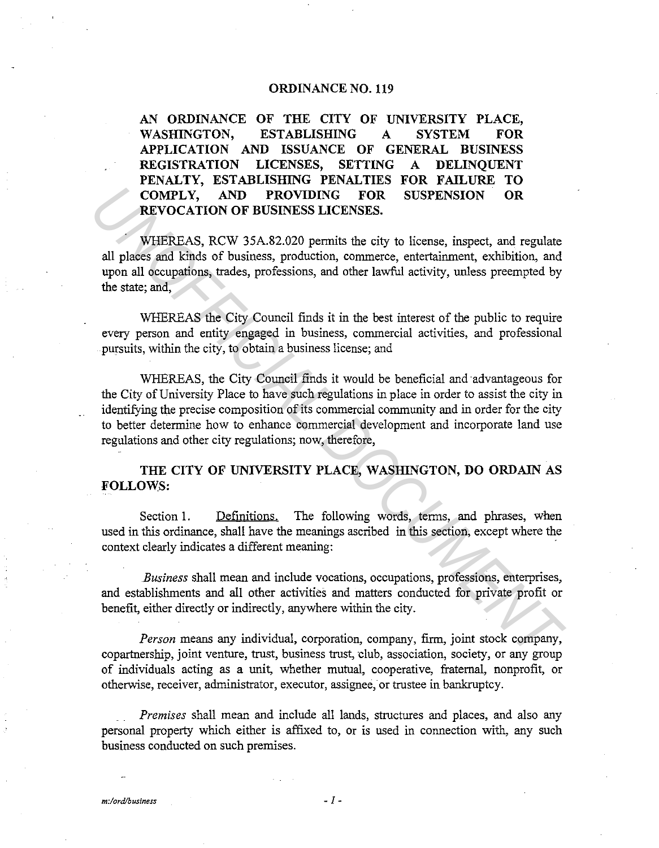## **ORDINANCE NO. 119**

**AN ORDINANCE OF THE CITY OF UNIVERSITY PLACE, WASHINGTON, ESTABLISHING A SYSTEM FOR APPLICATION AND ISSUANCE OF GENERAL BUSINESS REGISTRATION LICENSES, SETTING A DELINQUENT PENALTY, ESTABLISHING PENALTIES FOR FAILURE TO COMPLY, AND PROVIDING FOR SUSPENSION OR REVOCATION OF BUSINESS LICENSES.** 

WHEREAS, RCW 35A.82.020 permits the city to license, inspect, and regulate all places and kinds of business, production, commerce, entertainment, exhibition, and upon all occupations, trades, professions, and other lawful activity, unless preempted by the state; and,

WHEREAS the City Council finds it in the best interest of the public to require every person and entity engaged in business, commercial activities, and professional pursuits, within the city, to obtain a business license; and

WHEREAS, the City Council finds it would be beneficial and advantageous for the City of University Place to have such regulations in place in order to assist the city in identifying the precise composition of its commercial community and in order for the city to better determine how to enhance commercial development and incorporate land use regulations and other city regulations; now, therefore, **COMPLY, AND PROVIDING FOR SUSPENSION OR REVOCATION OF BUSINESS LICENSES.**<br> **WHEREAS, RCW 35A.82.020 permits the city to license, inspect, and regulate all plases and kinds of business, production, commerce, entertainment,** 

## **THE CITY OF UNIVERSITY PLACE, WASHINGTON, DO ORDAIN AS FOLLOWS:**

Section 1. Definitions. The following words, terms, and phrases, when used in this ordinance, shall have the meanings ascribed in this section, except where the context clearly indicates a different meaning:

*Business* shall mean and include vocations, occupations, professions, enterprises, and establishments and all other activities and matters conducted for private profit or benefit, either directly or indirectly, anywhere within the city.

*Person* means any individual, corporation, company, firm, joint stock company, copartnership, joint venture, trust, business trust, dub, association, society, or any group of individuals acting as a unit, whether mutual, cooperative, fraternal, nonprofit, or otherwise, receiver, administrator, executor, assignee; or trustee in bankruptcy.

*Premises* shall mean and include all lands, structures and places, and also any personal property which either is affixed to, or is used in connection with, any such business conducted on such premises.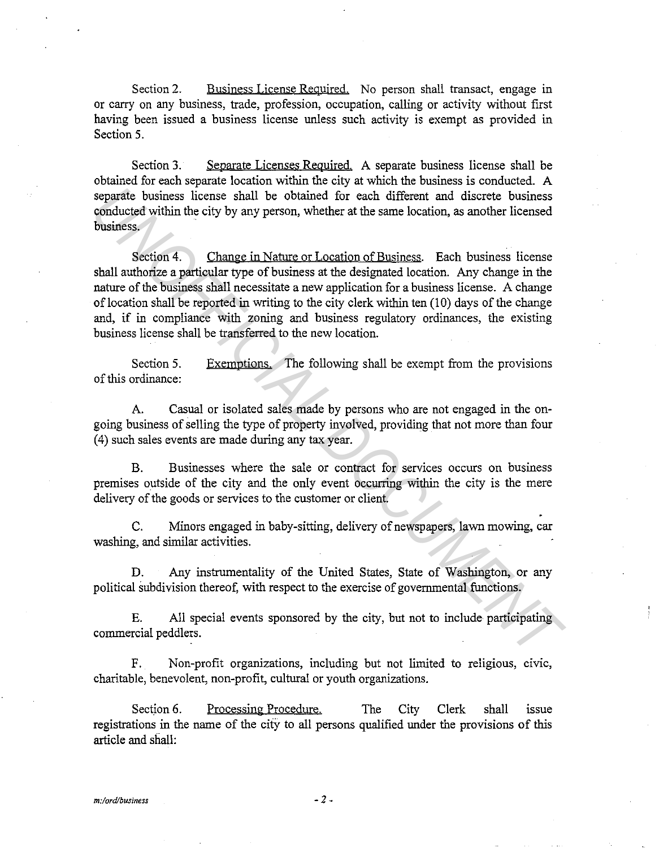Section 2. Business License Required. No person shall transact, engage in or carry on any business, trade, profession, occupation, calling or activity without first having been issued a business license unless such activity is exempt as provided in Section 5.

Section 3. Separate Licenses Required. A separate business license shall be obtained for each separate location within the city at which the business is conducted. A separate business license shall be obtained for each different and discrete business conducted within the city by any person, whether at the same location, as another licensed business.

Section 4. Change in Nature or Location of Business. Each business license shall authorize a particular type of business at the designated location. Any change in the nature of the business shall necessitate a new application for a business license. A change of location shall be reported in writing to the city clerk within ten  $(10)$  days of the change and, if in compliance with zoning and business regulatory ordinances, the existing business license shall be transferred to the new location. **Example 10** bothings in the obtained for each different and discrete business conducted within the city by any preson, whether at the same location, as another licensed business.<br> **UNOFFICIAL DOCUMENT CONCUMENT CONSULTS:** 

Section 5. of this ordinance: Exemptions. The following shall be exempt from the provisions

A. Casual or isolated sales made by persons who are not engaged in the ongoing business of selling the type of property involved, providing that not more than four (4) such sales events are made during any tax year.

B. Businesses where the sale or contract for services occurs on business premises outside of the city and the only event occurring within the city is the mere delivery of the goods or services to the customer or client.

C. Minors engaged in baby-sitting, delivery of newspapers, lawn mowing, car washing, and similar activities.

D. Any instrumentality of the United States, State of Washington, or any political subdivision thereof, with respect to the exercise of governmental functions.

E. All special events sponsored by the city, but not to include participating commercial peddlers.

F. Non-profit organizations, including but not limited to religious, civic, charitable, benevolent, non-profit, cultural or youth organizations.

Section 6. Processing Procedure. The City Clerk shall issue registrations in the name of the cify to all persons qualified under the provisions of this article and shall: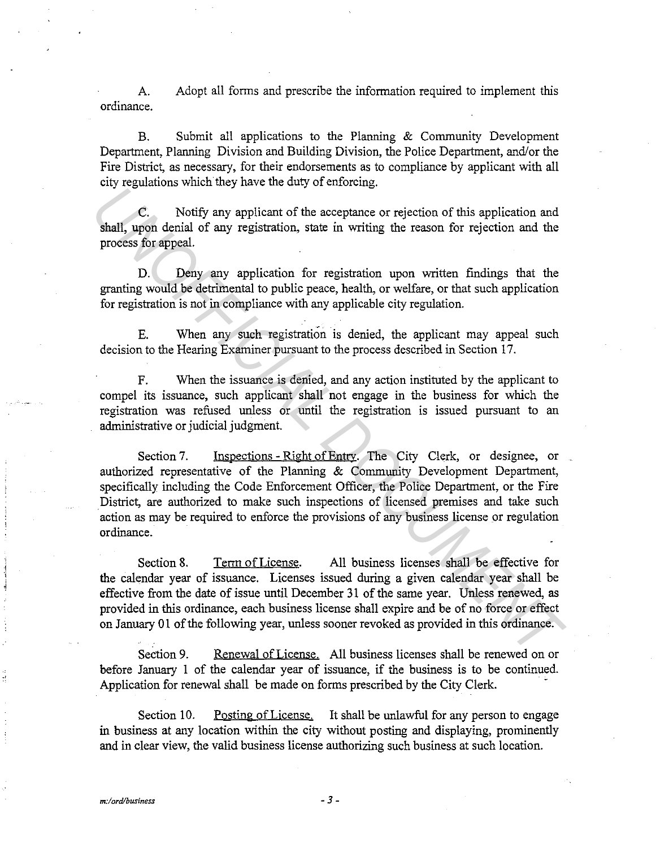A. Adopt all forms and prescribe the information required to implement this ordinance.

B. Submit all applications to the Planning & Community Development Department, Planning Division and Building Division, the Police Department, and/or the Fire District, as necessary, for their endorsements as to compliance by applicant with all city regulations which they have the duty of enforcing.

C. Notify any applicant of the acceptance or rejection of this application and shall, upon denial of any registration, state in writing the reason for rejection and the process for appeal.

D. Deny any application for registration upon written findings that the granting would be detrimental to public peace, health, or welfare, or that such application for registration is not in compliance with any applicable city regulation.

E. When any such registration is denied, the applicant may appeal such decision to the Hearing Examiner pursuant to the process described in Section 17.

F. When the issuance is denied, and any action instituted by the applicant to compel its issuance, such applicant shall not engage in the business for which the registration was refused unless or until the registration is issued pursuant to an administrative or judicial judgment.

Section 7. Inspections - Right of Entry. The City Clerk, or designee, or authorized representative of the Planning & Community Development Department, specifically including the Code Enforcement Officer, the Police Department, or the Fire District, are authorized to make such inspections of licensed premises and take such action as may be required to enforce the provisions of any business license or regulation ordinance. **Example the set of the set of the acceptance of the set of the set of the set of the set of the set of the product and the process for especial.**<br>
D. Deny any application for registration wom written findings that the gra

Section 8. Term of License. All business licenses shall be effective for the calendar year of issuance. Licenses issued during a given calendar year shall be effective from the date of issue until December 31 of the same year. Unless renewed, as provided in this ordinance, each business license shall expire and be of no force or effect on January 01 of the following year, unless sooner revoked as provided in this ordinance.

Section 9. Renewal of License. All business licenses shall be renewed on or before January 1 of the calendar year of issuance, if the business is to be continued. Application for renewal shall be made on forms prescribed by the City Clerk.

Section 10. Posting of License. It shall be unlawful for any person to engage in business at any location within the city without posting and displaying, prominently and in clear view, the valid business license authorizing such business at such location.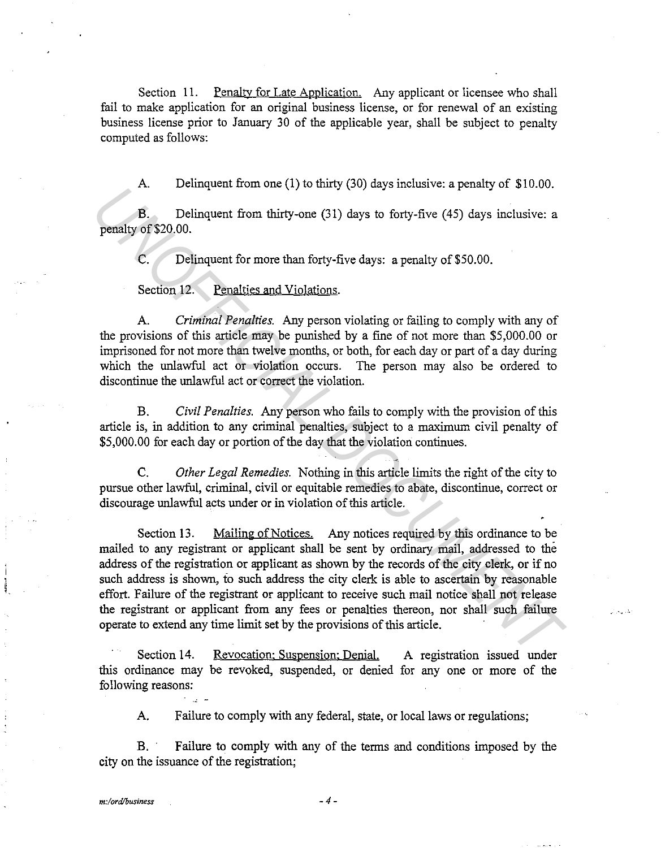Section 11. Penalty for Late Application. Any applicant or licensee who shall fail to make application for an original business license, or for renewal of an existing business license prior to January 30 of the applicable year, shall be subject to penalty computed as follows:

A. Delinquent from one (1) to thirty (30) days inclusive: a penalty of \$10.00.

B. Delinquent from thirty-one (31) days to forty-five (45) days inclusive: a penalty of \$20.00.

C. Delinquent for more than forty-five days: a penalty of\$50.00.

Section 12. Penalties and Violations.

A. *Criminal Penalties.* Any person violating or failing to comply with any of the provisions of this article may be punished by a fine of not more than \$5,000.00 or imprisoned for not more than twelve months, or both, for each day or part of a day during which the unlawful act or violation occurs. The person may also be ordered to discontinue the unlawful act or correct the violation.

B. *Civil Penalties.* Any person who fails to comply with the provision of this article is, in addition to any criminal penalties, subject to a maximum civil penalty of \$5,000.00 for each day or portion of the day that the violation continues.

C. *Other Legal Remedies.* Nothing in this article limits the right of the city to pursue other lawful, criminal, civil or equitable remedies to abate, discontinue, correct or discourage unlawful acts under or in violation of this article.

Section 13. Mailing of Notices. Any notices required by this ordinance to be mailed to any registrant or applicant shall be sent by ordinary mail, addressed to the address of the registration or applicant as shown by the records of the city clerk, or if no such address is shown, fo such address the city clerk is able to ascertain by reasonable effort. Failure of the registrant or applicant to receive such mail notice shall not release the registrant or applicant from any fees or penalties thereon, nor shall such failure operate to extend any time limit set by the provisions of this article. *U.* Delinquent from thirty-one (31) days to forty-five (45) days inclusive: a<br>penalty of \$20.00.<br>C. Delinquent for more than forty-five days: a penalty of \$50.00.<br>Section 12. Penalties and Yiolations.<br>Section 12. Penalti

Section 14. Revocation: Suspension: Denial. this ordinance may be revoked, suspended, or denied for any one or more of the following reasons: A registration issued under

A. Failure to comply with any federal, state, or local laws or regulations;

B. Failure to comply with any of the terms and conditions imposed by the city on the issuance of the registration;

l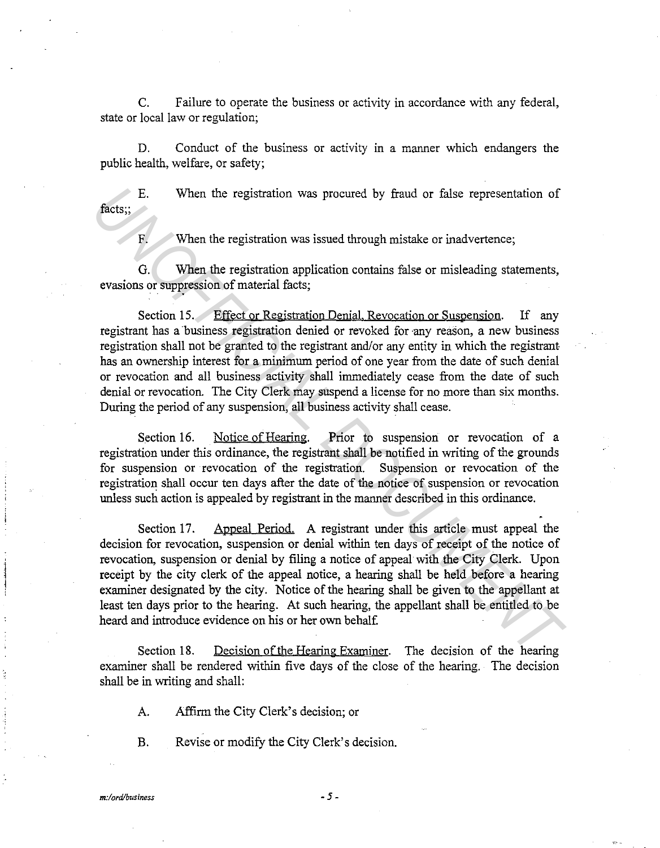C. Failure to operate the business or activity in accordance with any federal, state or local law or regulation;

D. Conduct of the business or activity in a manner which endangers the public health, welfare, or safety;

E. When the registration was procured by fraud or false representation of facts;;

F. When the registration was issued through mistake or inadvertence;

G. When the registration application contains false or misleading statements, evasions or suppression of material facts;

Section 15. Effect or Registration Denial. Revocation or Suspension. If any registrant has a business registration denied or revoked for any reason, a new business registration shall not be granted to the registrant and/or any entity in which the registrant has an ownership interest for a minimum period of one year from the date of such denial or revocation and all business activity shall immediately cease from the date of such denial or revocation. The City Clerk may suspend a license for no more than six months. During the period of any suspension, all business activity shall cease.

Section 16. Notice of Hearing. Prior to suspension or revocation of a registration under this ordinance, the registrant shall be notified in writing of the grounds for suspension or revocation of the registration. Suspension or revocation of the registration shall occur ten days after the date of the notice of suspension or revocation unless such action is appealed by registrant in the manner described in this ordinance.

Section 17. Appeal Period. A registrant under this article must appeal the decision for revocation, suspension or denial within ten days of receipt of the notice of revocation, suspension or denial by filing a notice of appeal with the City Clerk. Upon receipt by the city clerk of the appeal notice, a hearing shall be held before a hearing examiner designated by the city. Notice of the hearing shall be given to the appellant at least ten days prior to the hearing. At such hearing, the appellant shall be entitled to be heard and introduce evidence on his or her own behalf E. When the registration was procured by fraud or false representation of<br>**facts**;<br>**The act of the registration** was issued through mistake or inadvertence;<br>**C.** When the registration application contains false or misleadi

Section 18. Decision of the Hearing Examiner. The decision of the hearing examiner shall be rendered within five days of the close of the hearing. The decision shall be in writing and shall:

A. Affirm the City Clerk's decision; or

B. Revise or modify the City Clerk's decision.